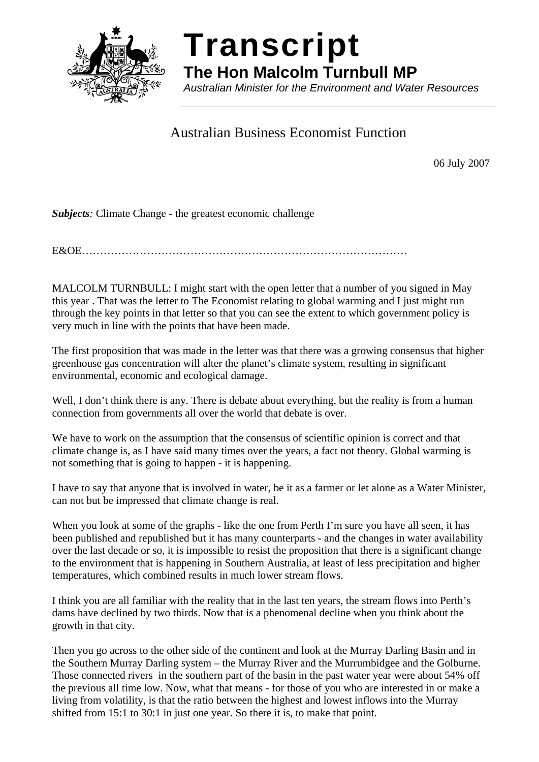

# **Transcript**

**The Hon Malcolm Turnbull MP** 

*Australian Minister for the Environment and Water Resources* 

# Australian Business Economist Function

06 July 2007

*Subjects:* Climate Change - the greatest economic challenge

E&OE………………………………………………………………………………

MALCOLM TURNBULL: I might start with the open letter that a number of you signed in May this year . That was the letter to The Economist relating to global warming and I just might run through the key points in that letter so that you can see the extent to which government policy is very much in line with the points that have been made.

The first proposition that was made in the letter was that there was a growing consensus that higher greenhouse gas concentration will alter the planet's climate system, resulting in significant environmental, economic and ecological damage.

Well, I don't think there is any. There is debate about everything, but the reality is from a human connection from governments all over the world that debate is over.

We have to work on the assumption that the consensus of scientific opinion is correct and that climate change is, as I have said many times over the years, a fact not theory. Global warming is not something that is going to happen - it is happening.

I have to say that anyone that is involved in water, be it as a farmer or let alone as a Water Minister, can not but be impressed that climate change is real.

When you look at some of the graphs - like the one from Perth I'm sure you have all seen, it has been published and republished but it has many counterparts - and the changes in water availability over the last decade or so, it is impossible to resist the proposition that there is a significant change to the environment that is happening in Southern Australia, at least of less precipitation and higher temperatures, which combined results in much lower stream flows.

I think you are all familiar with the reality that in the last ten years, the stream flows into Perth's dams have declined by two thirds. Now that is a phenomenal decline when you think about the growth in that city.

Then you go across to the other side of the continent and look at the Murray Darling Basin and in the Southern Murray Darling system – the Murray River and the Murrumbidgee and the Golburne. Those connected rivers in the southern part of the basin in the past water year were about 54% off the previous all time low. Now, what that means - for those of you who are interested in or make a living from volatility, is that the ratio between the highest and lowest inflows into the Murray shifted from 15:1 to 30:1 in just one year. So there it is, to make that point.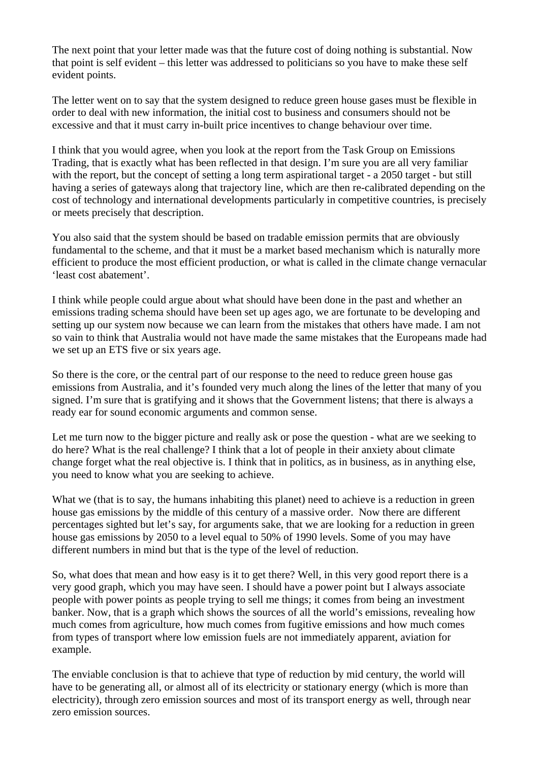The next point that your letter made was that the future cost of doing nothing is substantial. Now that point is self evident – this letter was addressed to politicians so you have to make these self evident points.

The letter went on to say that the system designed to reduce green house gases must be flexible in order to deal with new information, the initial cost to business and consumers should not be excessive and that it must carry in-built price incentives to change behaviour over time.

I think that you would agree, when you look at the report from the Task Group on Emissions Trading, that is exactly what has been reflected in that design. I'm sure you are all very familiar with the report, but the concept of setting a long term aspirational target - a 2050 target - but still having a series of gateways along that trajectory line, which are then re-calibrated depending on the cost of technology and international developments particularly in competitive countries, is precisely or meets precisely that description.

You also said that the system should be based on tradable emission permits that are obviously fundamental to the scheme, and that it must be a market based mechanism which is naturally more efficient to produce the most efficient production, or what is called in the climate change vernacular 'least cost abatement'.

I think while people could argue about what should have been done in the past and whether an emissions trading schema should have been set up ages ago, we are fortunate to be developing and setting up our system now because we can learn from the mistakes that others have made. I am not so vain to think that Australia would not have made the same mistakes that the Europeans made had we set up an ETS five or six years age.

So there is the core, or the central part of our response to the need to reduce green house gas emissions from Australia, and it's founded very much along the lines of the letter that many of you signed. I'm sure that is gratifying and it shows that the Government listens; that there is always a ready ear for sound economic arguments and common sense.

Let me turn now to the bigger picture and really ask or pose the question - what are we seeking to do here? What is the real challenge? I think that a lot of people in their anxiety about climate change forget what the real objective is. I think that in politics, as in business, as in anything else, you need to know what you are seeking to achieve.

What we (that is to say, the humans inhabiting this planet) need to achieve is a reduction in green house gas emissions by the middle of this century of a massive order. Now there are different percentages sighted but let's say, for arguments sake, that we are looking for a reduction in green house gas emissions by 2050 to a level equal to 50% of 1990 levels. Some of you may have different numbers in mind but that is the type of the level of reduction.

So, what does that mean and how easy is it to get there? Well, in this very good report there is a very good graph, which you may have seen. I should have a power point but I always associate people with power points as people trying to sell me things; it comes from being an investment banker. Now, that is a graph which shows the sources of all the world's emissions, revealing how much comes from agriculture, how much comes from fugitive emissions and how much comes from types of transport where low emission fuels are not immediately apparent, aviation for example.

The enviable conclusion is that to achieve that type of reduction by mid century, the world will have to be generating all, or almost all of its electricity or stationary energy (which is more than electricity), through zero emission sources and most of its transport energy as well, through near zero emission sources.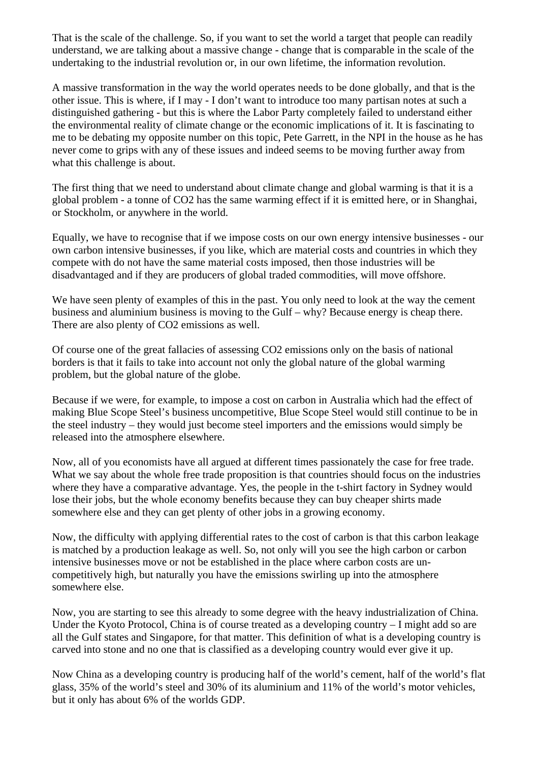That is the scale of the challenge. So, if you want to set the world a target that people can readily understand, we are talking about a massive change - change that is comparable in the scale of the undertaking to the industrial revolution or, in our own lifetime, the information revolution.

A massive transformation in the way the world operates needs to be done globally, and that is the other issue. This is where, if I may - I don't want to introduce too many partisan notes at such a distinguished gathering - but this is where the Labor Party completely failed to understand either the environmental reality of climate change or the economic implications of it. It is fascinating to me to be debating my opposite number on this topic, Pete Garrett, in the NPI in the house as he has never come to grips with any of these issues and indeed seems to be moving further away from what this challenge is about.

The first thing that we need to understand about climate change and global warming is that it is a global problem - a tonne of CO2 has the same warming effect if it is emitted here, or in Shanghai, or Stockholm, or anywhere in the world.

Equally, we have to recognise that if we impose costs on our own energy intensive businesses - our own carbon intensive businesses, if you like, which are material costs and countries in which they compete with do not have the same material costs imposed, then those industries will be disadvantaged and if they are producers of global traded commodities, will move offshore.

We have seen plenty of examples of this in the past. You only need to look at the way the cement business and aluminium business is moving to the Gulf – why? Because energy is cheap there. There are also plenty of CO2 emissions as well.

Of course one of the great fallacies of assessing CO2 emissions only on the basis of national borders is that it fails to take into account not only the global nature of the global warming problem, but the global nature of the globe.

Because if we were, for example, to impose a cost on carbon in Australia which had the effect of making Blue Scope Steel's business uncompetitive, Blue Scope Steel would still continue to be in the steel industry – they would just become steel importers and the emissions would simply be released into the atmosphere elsewhere.

Now, all of you economists have all argued at different times passionately the case for free trade. What we say about the whole free trade proposition is that countries should focus on the industries where they have a comparative advantage. Yes, the people in the t-shirt factory in Sydney would lose their jobs, but the whole economy benefits because they can buy cheaper shirts made somewhere else and they can get plenty of other jobs in a growing economy.

Now, the difficulty with applying differential rates to the cost of carbon is that this carbon leakage is matched by a production leakage as well. So, not only will you see the high carbon or carbon intensive businesses move or not be established in the place where carbon costs are uncompetitively high, but naturally you have the emissions swirling up into the atmosphere somewhere else.

Now, you are starting to see this already to some degree with the heavy industrialization of China. Under the Kyoto Protocol, China is of course treated as a developing country – I might add so are all the Gulf states and Singapore, for that matter. This definition of what is a developing country is carved into stone and no one that is classified as a developing country would ever give it up.

Now China as a developing country is producing half of the world's cement, half of the world's flat glass, 35% of the world's steel and 30% of its aluminium and 11% of the world's motor vehicles, but it only has about 6% of the worlds GDP.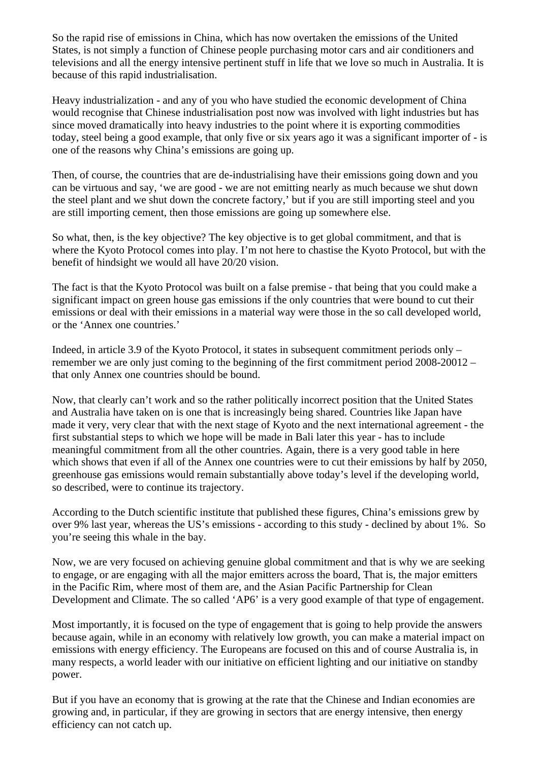So the rapid rise of emissions in China, which has now overtaken the emissions of the United States, is not simply a function of Chinese people purchasing motor cars and air conditioners and televisions and all the energy intensive pertinent stuff in life that we love so much in Australia. It is because of this rapid industrialisation.

Heavy industrialization - and any of you who have studied the economic development of China would recognise that Chinese industrialisation post now was involved with light industries but has since moved dramatically into heavy industries to the point where it is exporting commodities today, steel being a good example, that only five or six years ago it was a significant importer of - is one of the reasons why China's emissions are going up.

Then, of course, the countries that are de-industrialising have their emissions going down and you can be virtuous and say, 'we are good - we are not emitting nearly as much because we shut down the steel plant and we shut down the concrete factory,' but if you are still importing steel and you are still importing cement, then those emissions are going up somewhere else.

So what, then, is the key objective? The key objective is to get global commitment, and that is where the Kyoto Protocol comes into play. I'm not here to chastise the Kyoto Protocol, but with the benefit of hindsight we would all have 20/20 vision.

The fact is that the Kyoto Protocol was built on a false premise - that being that you could make a significant impact on green house gas emissions if the only countries that were bound to cut their emissions or deal with their emissions in a material way were those in the so call developed world, or the 'Annex one countries.'

Indeed, in article 3.9 of the Kyoto Protocol, it states in subsequent commitment periods only – remember we are only just coming to the beginning of the first commitment period 2008-20012 – that only Annex one countries should be bound.

Now, that clearly can't work and so the rather politically incorrect position that the United States and Australia have taken on is one that is increasingly being shared. Countries like Japan have made it very, very clear that with the next stage of Kyoto and the next international agreement - the first substantial steps to which we hope will be made in Bali later this year - has to include meaningful commitment from all the other countries. Again, there is a very good table in here which shows that even if all of the Annex one countries were to cut their emissions by half by 2050, greenhouse gas emissions would remain substantially above today's level if the developing world, so described, were to continue its trajectory.

According to the Dutch scientific institute that published these figures, China's emissions grew by over 9% last year, whereas the US's emissions - according to this study - declined by about 1%. So you're seeing this whale in the bay.

Now, we are very focused on achieving genuine global commitment and that is why we are seeking to engage, or are engaging with all the major emitters across the board, That is, the major emitters in the Pacific Rim, where most of them are, and the Asian Pacific Partnership for Clean Development and Climate. The so called 'AP6' is a very good example of that type of engagement.

Most importantly, it is focused on the type of engagement that is going to help provide the answers because again, while in an economy with relatively low growth, you can make a material impact on emissions with energy efficiency. The Europeans are focused on this and of course Australia is, in many respects, a world leader with our initiative on efficient lighting and our initiative on standby power.

But if you have an economy that is growing at the rate that the Chinese and Indian economies are growing and, in particular, if they are growing in sectors that are energy intensive, then energy efficiency can not catch up.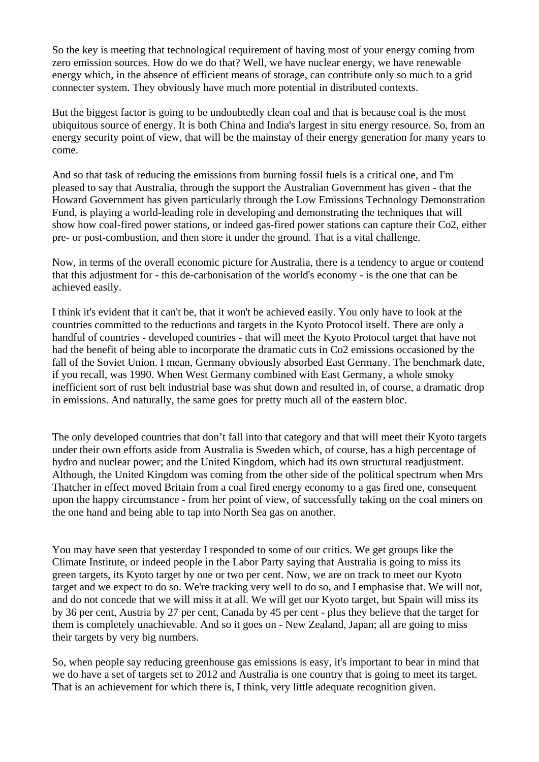So the key is meeting that technological requirement of having most of your energy coming from zero emission sources. How do we do that? Well, we have nuclear energy, we have renewable energy which, in the absence of efficient means of storage, can contribute only so much to a grid connecter system. They obviously have much more potential in distributed contexts.

But the biggest factor is going to be undoubtedly clean coal and that is because coal is the most ubiquitous source of energy. It is both China and India's largest in situ energy resource. So, from an energy security point of view, that will be the mainstay of their energy generation for many years to come.

And so that task of reducing the emissions from burning fossil fuels is a critical one, and I'm pleased to say that Australia, through the support the Australian Government has given - that the Howard Government has given particularly through the Low Emissions Technology Demonstration Fund, is playing a world-leading role in developing and demonstrating the techniques that will show how coal-fired power stations, or indeed gas-fired power stations can capture their Co2, either pre- or post-combustion, and then store it under the ground. That is a vital challenge.

Now, in terms of the overall economic picture for Australia, there is a tendency to argue or contend that this adjustment for - this de-carbonisation of the world's economy - is the one that can be achieved easily.

I think it's evident that it can't be, that it won't be achieved easily. You only have to look at the countries committed to the reductions and targets in the Kyoto Protocol itself. There are only a handful of countries - developed countries - that will meet the Kyoto Protocol target that have not had the benefit of being able to incorporate the dramatic cuts in Co2 emissions occasioned by the fall of the Soviet Union. I mean, Germany obviously absorbed East Germany. The benchmark date, if you recall, was 1990. When West Germany combined with East Germany, a whole smoky inefficient sort of rust belt industrial base was shut down and resulted in, of course, a dramatic drop in emissions. And naturally, the same goes for pretty much all of the eastern bloc.

The only developed countries that don't fall into that category and that will meet their Kyoto targets under their own efforts aside from Australia is Sweden which, of course, has a high percentage of hydro and nuclear power; and the United Kingdom, which had its own structural readjustment. Although, the United Kingdom was coming from the other side of the political spectrum when Mrs Thatcher in effect moved Britain from a coal fired energy economy to a gas fired one, consequent upon the happy circumstance - from her point of view, of successfully taking on the coal miners on the one hand and being able to tap into North Sea gas on another.

You may have seen that yesterday I responded to some of our critics. We get groups like the Climate Institute, or indeed people in the Labor Party saying that Australia is going to miss its green targets, its Kyoto target by one or two per cent. Now, we are on track to meet our Kyoto target and we expect to do so. We're tracking very well to do so, and I emphasise that. We will not, and do not concede that we will miss it at all. We will get our Kyoto target, but Spain will miss its by 36 per cent, Austria by 27 per cent, Canada by 45 per cent - plus they believe that the target for them is completely unachievable. And so it goes on - New Zealand, Japan; all are going to miss their targets by very big numbers.

So, when people say reducing greenhouse gas emissions is easy, it's important to bear in mind that we do have a set of targets set to 2012 and Australia is one country that is going to meet its target. That is an achievement for which there is, I think, very little adequate recognition given.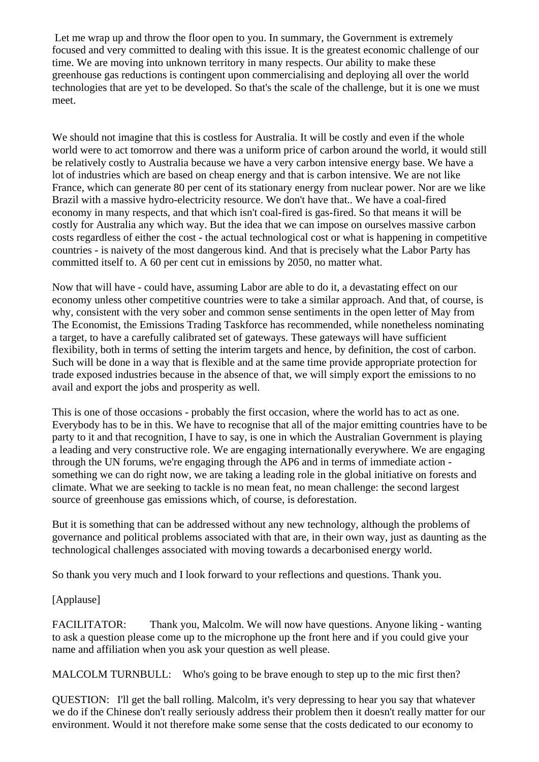Let me wrap up and throw the floor open to you. In summary, the Government is extremely focused and very committed to dealing with this issue. It is the greatest economic challenge of our time. We are moving into unknown territory in many respects. Our ability to make these greenhouse gas reductions is contingent upon commercialising and deploying all over the world technologies that are yet to be developed. So that's the scale of the challenge, but it is one we must meet.

We should not imagine that this is costless for Australia. It will be costly and even if the whole world were to act tomorrow and there was a uniform price of carbon around the world, it would still be relatively costly to Australia because we have a very carbon intensive energy base. We have a lot of industries which are based on cheap energy and that is carbon intensive. We are not like France, which can generate 80 per cent of its stationary energy from nuclear power. Nor are we like Brazil with a massive hydro-electricity resource. We don't have that.. We have a coal-fired economy in many respects, and that which isn't coal-fired is gas-fired. So that means it will be costly for Australia any which way. But the idea that we can impose on ourselves massive carbon costs regardless of either the cost - the actual technological cost or what is happening in competitive countries - is naivety of the most dangerous kind. And that is precisely what the Labor Party has committed itself to. A 60 per cent cut in emissions by 2050, no matter what.

Now that will have - could have, assuming Labor are able to do it, a devastating effect on our economy unless other competitive countries were to take a similar approach. And that, of course, is why, consistent with the very sober and common sense sentiments in the open letter of May from The Economist, the Emissions Trading Taskforce has recommended, while nonetheless nominating a target, to have a carefully calibrated set of gateways. These gateways will have sufficient flexibility, both in terms of setting the interim targets and hence, by definition, the cost of carbon. Such will be done in a way that is flexible and at the same time provide appropriate protection for trade exposed industries because in the absence of that, we will simply export the emissions to no avail and export the jobs and prosperity as well.

This is one of those occasions - probably the first occasion, where the world has to act as one. Everybody has to be in this. We have to recognise that all of the major emitting countries have to be party to it and that recognition, I have to say, is one in which the Australian Government is playing a leading and very constructive role. We are engaging internationally everywhere. We are engaging through the UN forums, we're engaging through the AP6 and in terms of immediate action something we can do right now, we are taking a leading role in the global initiative on forests and climate. What we are seeking to tackle is no mean feat, no mean challenge: the second largest source of greenhouse gas emissions which, of course, is deforestation.

But it is something that can be addressed without any new technology, although the problems of governance and political problems associated with that are, in their own way, just as daunting as the technological challenges associated with moving towards a decarbonised energy world.

So thank you very much and I look forward to your reflections and questions. Thank you.

## [Applause]

FACILITATOR: Thank you, Malcolm. We will now have questions. Anyone liking - wanting to ask a question please come up to the microphone up the front here and if you could give your name and affiliation when you ask your question as well please.

MALCOLM TURNBULL: Who's going to be brave enough to step up to the mic first then?

QUESTION: I'll get the ball rolling. Malcolm, it's very depressing to hear you say that whatever we do if the Chinese don't really seriously address their problem then it doesn't really matter for our environment. Would it not therefore make some sense that the costs dedicated to our economy to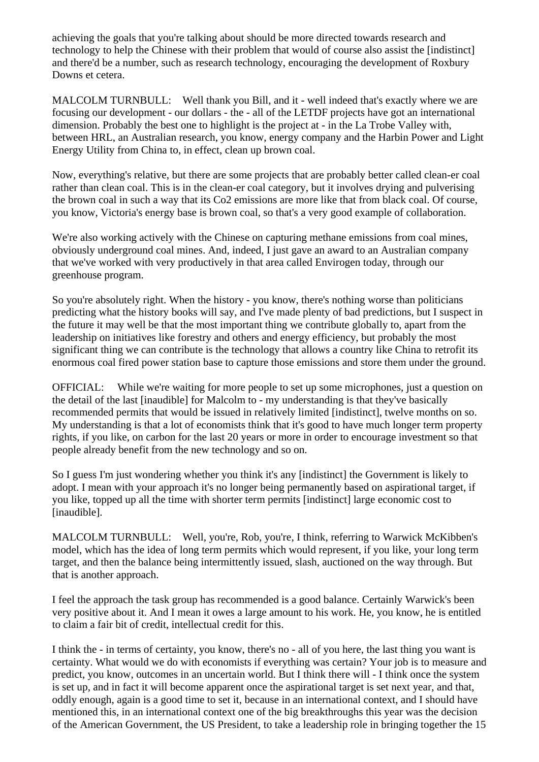achieving the goals that you're talking about should be more directed towards research and technology to help the Chinese with their problem that would of course also assist the [indistinct] and there'd be a number, such as research technology, encouraging the development of Roxbury Downs et cetera.

MALCOLM TURNBULL: Well thank you Bill, and it - well indeed that's exactly where we are focusing our development - our dollars - the - all of the LETDF projects have got an international dimension. Probably the best one to highlight is the project at - in the La Trobe Valley with, between HRL, an Australian research, you know, energy company and the Harbin Power and Light Energy Utility from China to, in effect, clean up brown coal.

Now, everything's relative, but there are some projects that are probably better called clean-er coal rather than clean coal. This is in the clean-er coal category, but it involves drying and pulverising the brown coal in such a way that its Co2 emissions are more like that from black coal. Of course, you know, Victoria's energy base is brown coal, so that's a very good example of collaboration.

We're also working actively with the Chinese on capturing methane emissions from coal mines, obviously underground coal mines. And, indeed, I just gave an award to an Australian company that we've worked with very productively in that area called Envirogen today, through our greenhouse program.

So you're absolutely right. When the history - you know, there's nothing worse than politicians predicting what the history books will say, and I've made plenty of bad predictions, but I suspect in the future it may well be that the most important thing we contribute globally to, apart from the leadership on initiatives like forestry and others and energy efficiency, but probably the most significant thing we can contribute is the technology that allows a country like China to retrofit its enormous coal fired power station base to capture those emissions and store them under the ground.

OFFICIAL: While we're waiting for more people to set up some microphones, just a question on the detail of the last [inaudible] for Malcolm to - my understanding is that they've basically recommended permits that would be issued in relatively limited [indistinct], twelve months on so. My understanding is that a lot of economists think that it's good to have much longer term property rights, if you like, on carbon for the last 20 years or more in order to encourage investment so that people already benefit from the new technology and so on.

So I guess I'm just wondering whether you think it's any [indistinct] the Government is likely to adopt. I mean with your approach it's no longer being permanently based on aspirational target, if you like, topped up all the time with shorter term permits [indistinct] large economic cost to [inaudible].

MALCOLM TURNBULL: Well, you're, Rob, you're, I think, referring to Warwick McKibben's model, which has the idea of long term permits which would represent, if you like, your long term target, and then the balance being intermittently issued, slash, auctioned on the way through. But that is another approach.

I feel the approach the task group has recommended is a good balance. Certainly Warwick's been very positive about it. And I mean it owes a large amount to his work. He, you know, he is entitled to claim a fair bit of credit, intellectual credit for this.

I think the - in terms of certainty, you know, there's no - all of you here, the last thing you want is certainty. What would we do with economists if everything was certain? Your job is to measure and predict, you know, outcomes in an uncertain world. But I think there will - I think once the system is set up, and in fact it will become apparent once the aspirational target is set next year, and that, oddly enough, again is a good time to set it, because in an international context, and I should have mentioned this, in an international context one of the big breakthroughs this year was the decision of the American Government, the US President, to take a leadership role in bringing together the 15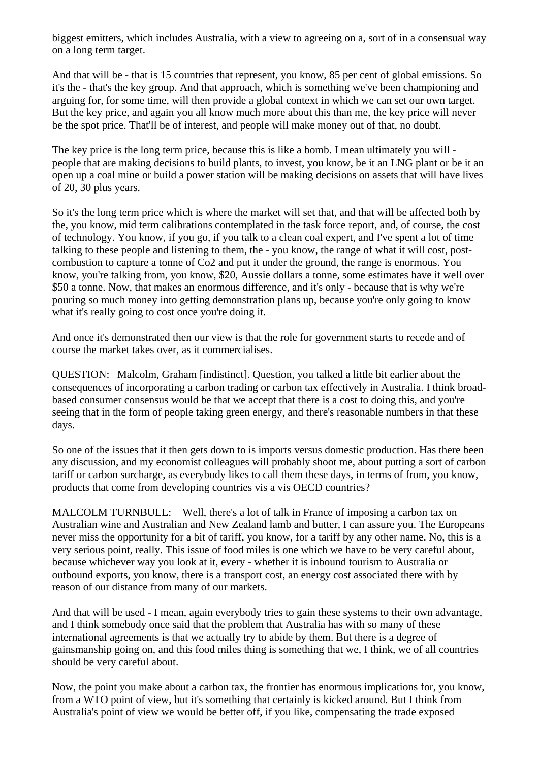biggest emitters, which includes Australia, with a view to agreeing on a, sort of in a consensual way on a long term target.

And that will be - that is 15 countries that represent, you know, 85 per cent of global emissions. So it's the - that's the key group. And that approach, which is something we've been championing and arguing for, for some time, will then provide a global context in which we can set our own target. But the key price, and again you all know much more about this than me, the key price will never be the spot price. That'll be of interest, and people will make money out of that, no doubt.

The key price is the long term price, because this is like a bomb. I mean ultimately you will people that are making decisions to build plants, to invest, you know, be it an LNG plant or be it an open up a coal mine or build a power station will be making decisions on assets that will have lives of 20, 30 plus years.

So it's the long term price which is where the market will set that, and that will be affected both by the, you know, mid term calibrations contemplated in the task force report, and, of course, the cost of technology. You know, if you go, if you talk to a clean coal expert, and I've spent a lot of time talking to these people and listening to them, the - you know, the range of what it will cost, postcombustion to capture a tonne of Co2 and put it under the ground, the range is enormous. You know, you're talking from, you know, \$20, Aussie dollars a tonne, some estimates have it well over \$50 a tonne. Now, that makes an enormous difference, and it's only - because that is why we're pouring so much money into getting demonstration plans up, because you're only going to know what it's really going to cost once you're doing it.

And once it's demonstrated then our view is that the role for government starts to recede and of course the market takes over, as it commercialises.

QUESTION: Malcolm, Graham [indistinct]. Question, you talked a little bit earlier about the consequences of incorporating a carbon trading or carbon tax effectively in Australia. I think broadbased consumer consensus would be that we accept that there is a cost to doing this, and you're seeing that in the form of people taking green energy, and there's reasonable numbers in that these days.

So one of the issues that it then gets down to is imports versus domestic production. Has there been any discussion, and my economist colleagues will probably shoot me, about putting a sort of carbon tariff or carbon surcharge, as everybody likes to call them these days, in terms of from, you know, products that come from developing countries vis a vis OECD countries?

MALCOLM TURNBULL: Well, there's a lot of talk in France of imposing a carbon tax on Australian wine and Australian and New Zealand lamb and butter, I can assure you. The Europeans never miss the opportunity for a bit of tariff, you know, for a tariff by any other name. No, this is a very serious point, really. This issue of food miles is one which we have to be very careful about, because whichever way you look at it, every - whether it is inbound tourism to Australia or outbound exports, you know, there is a transport cost, an energy cost associated there with by reason of our distance from many of our markets.

And that will be used - I mean, again everybody tries to gain these systems to their own advantage, and I think somebody once said that the problem that Australia has with so many of these international agreements is that we actually try to abide by them. But there is a degree of gainsmanship going on, and this food miles thing is something that we, I think, we of all countries should be very careful about.

Now, the point you make about a carbon tax, the frontier has enormous implications for, you know, from a WTO point of view, but it's something that certainly is kicked around. But I think from Australia's point of view we would be better off, if you like, compensating the trade exposed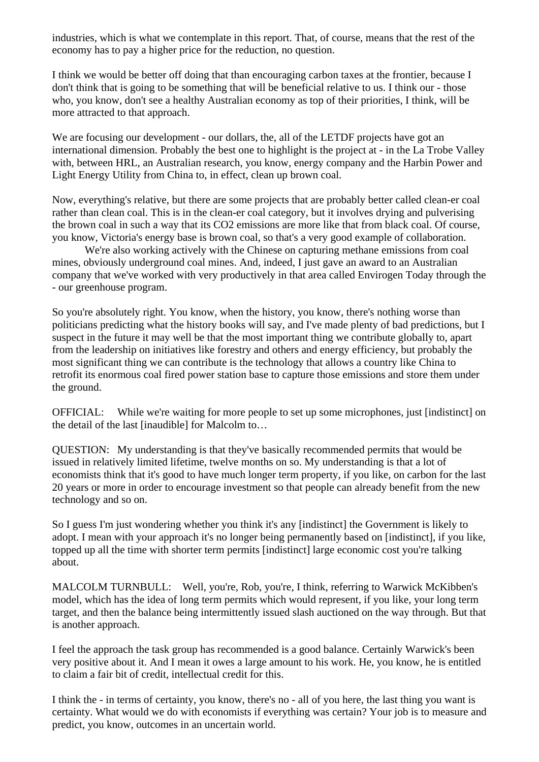industries, which is what we contemplate in this report. That, of course, means that the rest of the economy has to pay a higher price for the reduction, no question.

I think we would be better off doing that than encouraging carbon taxes at the frontier, because I don't think that is going to be something that will be beneficial relative to us. I think our - those who, you know, don't see a healthy Australian economy as top of their priorities, I think, will be more attracted to that approach.

We are focusing our development - our dollars, the, all of the LETDF projects have got an international dimension. Probably the best one to highlight is the project at - in the La Trobe Valley with, between HRL, an Australian research, you know, energy company and the Harbin Power and Light Energy Utility from China to, in effect, clean up brown coal.

Now, everything's relative, but there are some projects that are probably better called clean-er coal rather than clean coal. This is in the clean-er coal category, but it involves drying and pulverising the brown coal in such a way that its CO2 emissions are more like that from black coal. Of course, you know, Victoria's energy base is brown coal, so that's a very good example of collaboration.

 We're also working actively with the Chinese on capturing methane emissions from coal mines, obviously underground coal mines. And, indeed, I just gave an award to an Australian company that we've worked with very productively in that area called Envirogen Today through the - our greenhouse program.

So you're absolutely right. You know, when the history, you know, there's nothing worse than politicians predicting what the history books will say, and I've made plenty of bad predictions, but I suspect in the future it may well be that the most important thing we contribute globally to, apart from the leadership on initiatives like forestry and others and energy efficiency, but probably the most significant thing we can contribute is the technology that allows a country like China to retrofit its enormous coal fired power station base to capture those emissions and store them under the ground.

OFFICIAL: While we're waiting for more people to set up some microphones, just [indistinct] on the detail of the last [inaudible] for Malcolm to…

QUESTION: My understanding is that they've basically recommended permits that would be issued in relatively limited lifetime, twelve months on so. My understanding is that a lot of economists think that it's good to have much longer term property, if you like, on carbon for the last 20 years or more in order to encourage investment so that people can already benefit from the new technology and so on.

So I guess I'm just wondering whether you think it's any [indistinct] the Government is likely to adopt. I mean with your approach it's no longer being permanently based on [indistinct], if you like, topped up all the time with shorter term permits [indistinct] large economic cost you're talking about.

MALCOLM TURNBULL: Well, you're, Rob, you're, I think, referring to Warwick McKibben's model, which has the idea of long term permits which would represent, if you like, your long term target, and then the balance being intermittently issued slash auctioned on the way through. But that is another approach.

I feel the approach the task group has recommended is a good balance. Certainly Warwick's been very positive about it. And I mean it owes a large amount to his work. He, you know, he is entitled to claim a fair bit of credit, intellectual credit for this.

I think the - in terms of certainty, you know, there's no - all of you here, the last thing you want is certainty. What would we do with economists if everything was certain? Your job is to measure and predict, you know, outcomes in an uncertain world.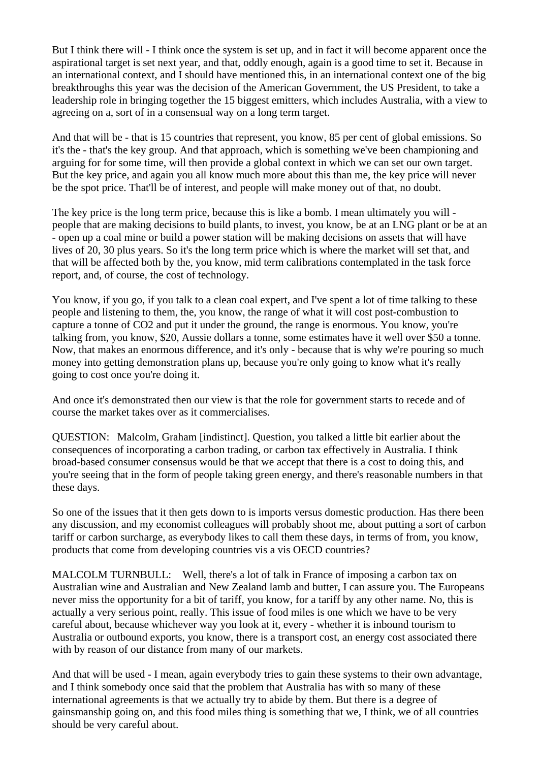But I think there will - I think once the system is set up, and in fact it will become apparent once the aspirational target is set next year, and that, oddly enough, again is a good time to set it. Because in an international context, and I should have mentioned this, in an international context one of the big breakthroughs this year was the decision of the American Government, the US President, to take a leadership role in bringing together the 15 biggest emitters, which includes Australia, with a view to agreeing on a, sort of in a consensual way on a long term target.

And that will be - that is 15 countries that represent, you know, 85 per cent of global emissions. So it's the - that's the key group. And that approach, which is something we've been championing and arguing for for some time, will then provide a global context in which we can set our own target. But the key price, and again you all know much more about this than me, the key price will never be the spot price. That'll be of interest, and people will make money out of that, no doubt.

The key price is the long term price, because this is like a bomb. I mean ultimately you will people that are making decisions to build plants, to invest, you know, be at an LNG plant or be at an - open up a coal mine or build a power station will be making decisions on assets that will have lives of 20, 30 plus years. So it's the long term price which is where the market will set that, and that will be affected both by the, you know, mid term calibrations contemplated in the task force report, and, of course, the cost of technology.

You know, if you go, if you talk to a clean coal expert, and I've spent a lot of time talking to these people and listening to them, the, you know, the range of what it will cost post-combustion to capture a tonne of CO2 and put it under the ground, the range is enormous. You know, you're talking from, you know, \$20, Aussie dollars a tonne, some estimates have it well over \$50 a tonne. Now, that makes an enormous difference, and it's only - because that is why we're pouring so much money into getting demonstration plans up, because you're only going to know what it's really going to cost once you're doing it.

And once it's demonstrated then our view is that the role for government starts to recede and of course the market takes over as it commercialises.

QUESTION: Malcolm, Graham [indistinct]. Question, you talked a little bit earlier about the consequences of incorporating a carbon trading, or carbon tax effectively in Australia. I think broad-based consumer consensus would be that we accept that there is a cost to doing this, and you're seeing that in the form of people taking green energy, and there's reasonable numbers in that these days.

So one of the issues that it then gets down to is imports versus domestic production. Has there been any discussion, and my economist colleagues will probably shoot me, about putting a sort of carbon tariff or carbon surcharge, as everybody likes to call them these days, in terms of from, you know, products that come from developing countries vis a vis OECD countries?

MALCOLM TURNBULL: Well, there's a lot of talk in France of imposing a carbon tax on Australian wine and Australian and New Zealand lamb and butter, I can assure you. The Europeans never miss the opportunity for a bit of tariff, you know, for a tariff by any other name. No, this is actually a very serious point, really. This issue of food miles is one which we have to be very careful about, because whichever way you look at it, every - whether it is inbound tourism to Australia or outbound exports, you know, there is a transport cost, an energy cost associated there with by reason of our distance from many of our markets.

And that will be used - I mean, again everybody tries to gain these systems to their own advantage, and I think somebody once said that the problem that Australia has with so many of these international agreements is that we actually try to abide by them. But there is a degree of gainsmanship going on, and this food miles thing is something that we, I think, we of all countries should be very careful about.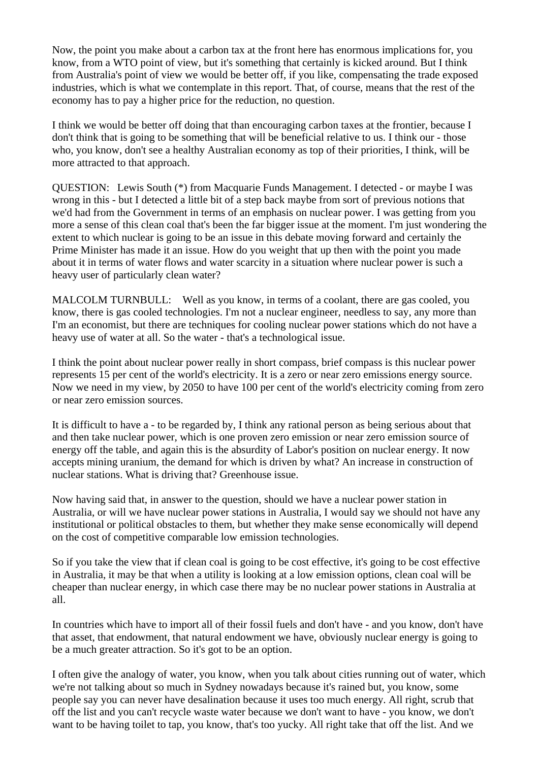Now, the point you make about a carbon tax at the front here has enormous implications for, you know, from a WTO point of view, but it's something that certainly is kicked around. But I think from Australia's point of view we would be better off, if you like, compensating the trade exposed industries, which is what we contemplate in this report. That, of course, means that the rest of the economy has to pay a higher price for the reduction, no question.

I think we would be better off doing that than encouraging carbon taxes at the frontier, because I don't think that is going to be something that will be beneficial relative to us. I think our - those who, you know, don't see a healthy Australian economy as top of their priorities, I think, will be more attracted to that approach.

QUESTION: Lewis South (\*) from Macquarie Funds Management. I detected - or maybe I was wrong in this - but I detected a little bit of a step back maybe from sort of previous notions that we'd had from the Government in terms of an emphasis on nuclear power. I was getting from you more a sense of this clean coal that's been the far bigger issue at the moment. I'm just wondering the extent to which nuclear is going to be an issue in this debate moving forward and certainly the Prime Minister has made it an issue. How do you weight that up then with the point you made about it in terms of water flows and water scarcity in a situation where nuclear power is such a heavy user of particularly clean water?

MALCOLM TURNBULL: Well as you know, in terms of a coolant, there are gas cooled, you know, there is gas cooled technologies. I'm not a nuclear engineer, needless to say, any more than I'm an economist, but there are techniques for cooling nuclear power stations which do not have a heavy use of water at all. So the water - that's a technological issue.

I think the point about nuclear power really in short compass, brief compass is this nuclear power represents 15 per cent of the world's electricity. It is a zero or near zero emissions energy source. Now we need in my view, by 2050 to have 100 per cent of the world's electricity coming from zero or near zero emission sources.

It is difficult to have a - to be regarded by, I think any rational person as being serious about that and then take nuclear power, which is one proven zero emission or near zero emission source of energy off the table, and again this is the absurdity of Labor's position on nuclear energy. It now accepts mining uranium, the demand for which is driven by what? An increase in construction of nuclear stations. What is driving that? Greenhouse issue.

Now having said that, in answer to the question, should we have a nuclear power station in Australia, or will we have nuclear power stations in Australia, I would say we should not have any institutional or political obstacles to them, but whether they make sense economically will depend on the cost of competitive comparable low emission technologies.

So if you take the view that if clean coal is going to be cost effective, it's going to be cost effective in Australia, it may be that when a utility is looking at a low emission options, clean coal will be cheaper than nuclear energy, in which case there may be no nuclear power stations in Australia at all.

In countries which have to import all of their fossil fuels and don't have - and you know, don't have that asset, that endowment, that natural endowment we have, obviously nuclear energy is going to be a much greater attraction. So it's got to be an option.

I often give the analogy of water, you know, when you talk about cities running out of water, which we're not talking about so much in Sydney nowadays because it's rained but, you know, some people say you can never have desalination because it uses too much energy. All right, scrub that off the list and you can't recycle waste water because we don't want to have - you know, we don't want to be having toilet to tap, you know, that's too yucky. All right take that off the list. And we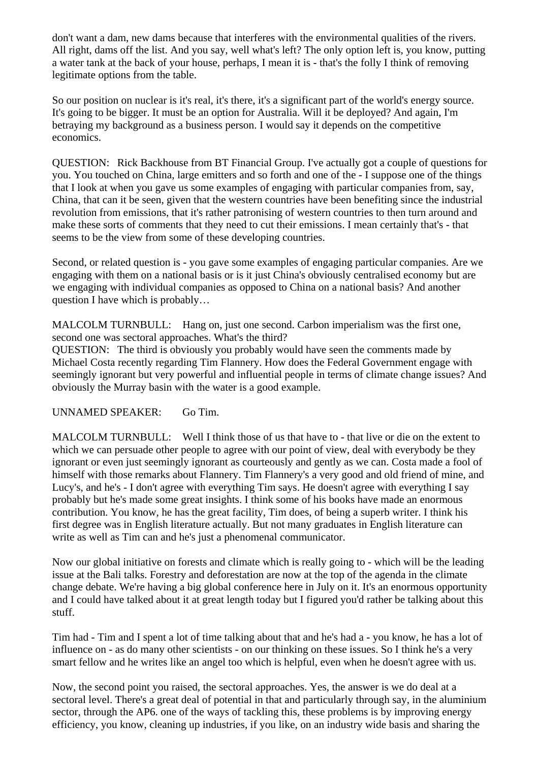don't want a dam, new dams because that interferes with the environmental qualities of the rivers. All right, dams off the list. And you say, well what's left? The only option left is, you know, putting a water tank at the back of your house, perhaps, I mean it is - that's the folly I think of removing legitimate options from the table.

So our position on nuclear is it's real, it's there, it's a significant part of the world's energy source. It's going to be bigger. It must be an option for Australia. Will it be deployed? And again, I'm betraying my background as a business person. I would say it depends on the competitive economics.

QUESTION: Rick Backhouse from BT Financial Group. I've actually got a couple of questions for you. You touched on China, large emitters and so forth and one of the - I suppose one of the things that I look at when you gave us some examples of engaging with particular companies from, say, China, that can it be seen, given that the western countries have been benefiting since the industrial revolution from emissions, that it's rather patronising of western countries to then turn around and make these sorts of comments that they need to cut their emissions. I mean certainly that's - that seems to be the view from some of these developing countries.

Second, or related question is - you gave some examples of engaging particular companies. Are we engaging with them on a national basis or is it just China's obviously centralised economy but are we engaging with individual companies as opposed to China on a national basis? And another question I have which is probably…

MALCOLM TURNBULL: Hang on, just one second. Carbon imperialism was the first one, second one was sectoral approaches. What's the third?

QUESTION: The third is obviously you probably would have seen the comments made by Michael Costa recently regarding Tim Flannery. How does the Federal Government engage with seemingly ignorant but very powerful and influential people in terms of climate change issues? And obviously the Murray basin with the water is a good example.

UNNAMED SPEAKER: Go Tim.

MALCOLM TURNBULL: Well I think those of us that have to - that live or die on the extent to which we can persuade other people to agree with our point of view, deal with everybody be they ignorant or even just seemingly ignorant as courteously and gently as we can. Costa made a fool of himself with those remarks about Flannery. Tim Flannery's a very good and old friend of mine, and Lucy's, and he's - I don't agree with everything Tim says. He doesn't agree with everything I say probably but he's made some great insights. I think some of his books have made an enormous contribution. You know, he has the great facility, Tim does, of being a superb writer. I think his first degree was in English literature actually. But not many graduates in English literature can write as well as Tim can and he's just a phenomenal communicator.

Now our global initiative on forests and climate which is really going to - which will be the leading issue at the Bali talks. Forestry and deforestation are now at the top of the agenda in the climate change debate. We're having a big global conference here in July on it. It's an enormous opportunity and I could have talked about it at great length today but I figured you'd rather be talking about this stuff.

Tim had - Tim and I spent a lot of time talking about that and he's had a - you know, he has a lot of influence on - as do many other scientists - on our thinking on these issues. So I think he's a very smart fellow and he writes like an angel too which is helpful, even when he doesn't agree with us.

Now, the second point you raised, the sectoral approaches. Yes, the answer is we do deal at a sectoral level. There's a great deal of potential in that and particularly through say, in the aluminium sector, through the AP6. one of the ways of tackling this, these problems is by improving energy efficiency, you know, cleaning up industries, if you like, on an industry wide basis and sharing the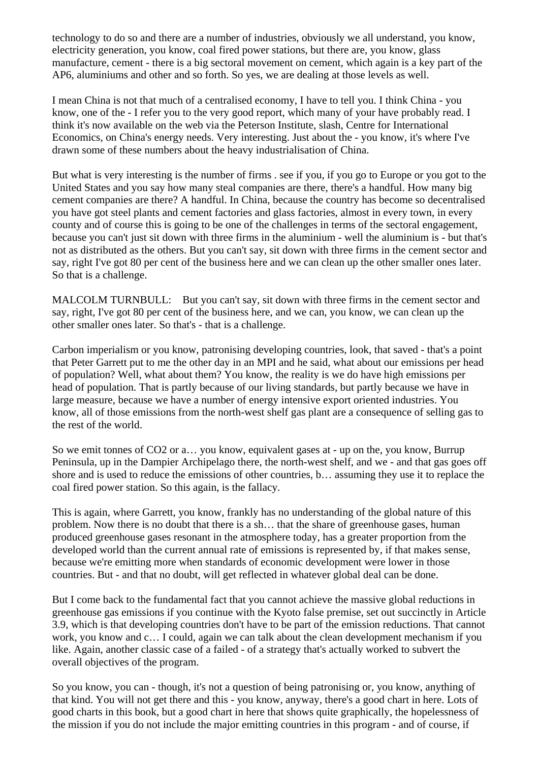technology to do so and there are a number of industries, obviously we all understand, you know, electricity generation, you know, coal fired power stations, but there are, you know, glass manufacture, cement - there is a big sectoral movement on cement, which again is a key part of the AP6, aluminiums and other and so forth. So yes, we are dealing at those levels as well.

I mean China is not that much of a centralised economy, I have to tell you. I think China - you know, one of the - I refer you to the very good report, which many of your have probably read. I think it's now available on the web via the Peterson Institute, slash, Centre for International Economics, on China's energy needs. Very interesting. Just about the - you know, it's where I've drawn some of these numbers about the heavy industrialisation of China.

But what is very interesting is the number of firms . see if you, if you go to Europe or you got to the United States and you say how many steal companies are there, there's a handful. How many big cement companies are there? A handful. In China, because the country has become so decentralised you have got steel plants and cement factories and glass factories, almost in every town, in every county and of course this is going to be one of the challenges in terms of the sectoral engagement, because you can't just sit down with three firms in the aluminium - well the aluminium is - but that's not as distributed as the others. But you can't say, sit down with three firms in the cement sector and say, right I've got 80 per cent of the business here and we can clean up the other smaller ones later. So that is a challenge.

MALCOLM TURNBULL: But you can't say, sit down with three firms in the cement sector and say, right, I've got 80 per cent of the business here, and we can, you know, we can clean up the other smaller ones later. So that's - that is a challenge.

Carbon imperialism or you know, patronising developing countries, look, that saved - that's a point that Peter Garrett put to me the other day in an MPI and he said, what about our emissions per head of population? Well, what about them? You know, the reality is we do have high emissions per head of population. That is partly because of our living standards, but partly because we have in large measure, because we have a number of energy intensive export oriented industries. You know, all of those emissions from the north-west shelf gas plant are a consequence of selling gas to the rest of the world.

So we emit tonnes of CO2 or a… you know, equivalent gases at - up on the, you know, Burrup Peninsula, up in the Dampier Archipelago there, the north-west shelf, and we - and that gas goes off shore and is used to reduce the emissions of other countries, b… assuming they use it to replace the coal fired power station. So this again, is the fallacy.

This is again, where Garrett, you know, frankly has no understanding of the global nature of this problem. Now there is no doubt that there is a sh… that the share of greenhouse gases, human produced greenhouse gases resonant in the atmosphere today, has a greater proportion from the developed world than the current annual rate of emissions is represented by, if that makes sense, because we're emitting more when standards of economic development were lower in those countries. But - and that no doubt, will get reflected in whatever global deal can be done.

But I come back to the fundamental fact that you cannot achieve the massive global reductions in greenhouse gas emissions if you continue with the Kyoto false premise, set out succinctly in Article 3.9, which is that developing countries don't have to be part of the emission reductions. That cannot work, you know and c… I could, again we can talk about the clean development mechanism if you like. Again, another classic case of a failed - of a strategy that's actually worked to subvert the overall objectives of the program.

So you know, you can - though, it's not a question of being patronising or, you know, anything of that kind. You will not get there and this - you know, anyway, there's a good chart in here. Lots of good charts in this book, but a good chart in here that shows quite graphically, the hopelessness of the mission if you do not include the major emitting countries in this program - and of course, if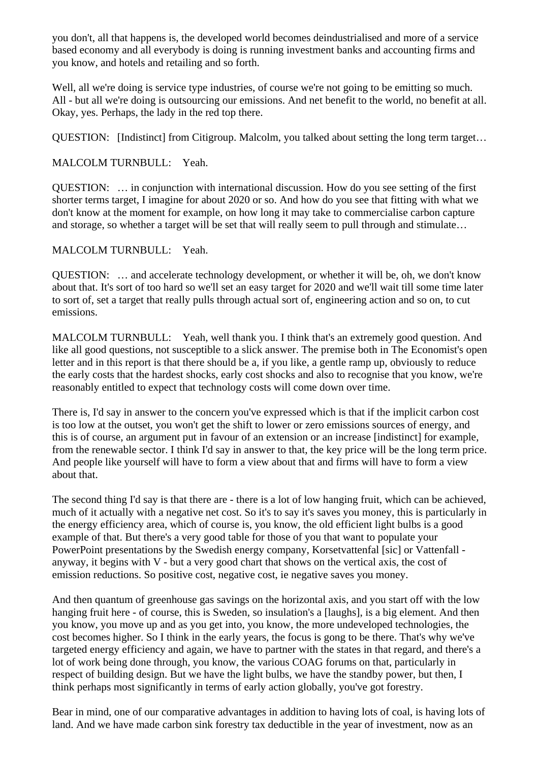you don't, all that happens is, the developed world becomes deindustrialised and more of a service based economy and all everybody is doing is running investment banks and accounting firms and you know, and hotels and retailing and so forth.

Well, all we're doing is service type industries, of course we're not going to be emitting so much. All - but all we're doing is outsourcing our emissions. And net benefit to the world, no benefit at all. Okay, yes. Perhaps, the lady in the red top there.

QUESTION: [Indistinct] from Citigroup. Malcolm, you talked about setting the long term target…

### MALCOLM TURNBULL: Yeah.

QUESTION: … in conjunction with international discussion. How do you see setting of the first shorter terms target, I imagine for about 2020 or so. And how do you see that fitting with what we don't know at the moment for example, on how long it may take to commercialise carbon capture and storage, so whether a target will be set that will really seem to pull through and stimulate…

#### MALCOLM TURNBULL: Yeah.

QUESTION: … and accelerate technology development, or whether it will be, oh, we don't know about that. It's sort of too hard so we'll set an easy target for 2020 and we'll wait till some time later to sort of, set a target that really pulls through actual sort of, engineering action and so on, to cut emissions.

MALCOLM TURNBULL: Yeah, well thank you. I think that's an extremely good question. And like all good questions, not susceptible to a slick answer. The premise both in The Economist's open letter and in this report is that there should be a, if you like, a gentle ramp up, obviously to reduce the early costs that the hardest shocks, early cost shocks and also to recognise that you know, we're reasonably entitled to expect that technology costs will come down over time.

There is, I'd say in answer to the concern you've expressed which is that if the implicit carbon cost is too low at the outset, you won't get the shift to lower or zero emissions sources of energy, and this is of course, an argument put in favour of an extension or an increase [indistinct] for example, from the renewable sector. I think I'd say in answer to that, the key price will be the long term price. And people like yourself will have to form a view about that and firms will have to form a view about that.

The second thing I'd say is that there are - there is a lot of low hanging fruit, which can be achieved, much of it actually with a negative net cost. So it's to say it's saves you money, this is particularly in the energy efficiency area, which of course is, you know, the old efficient light bulbs is a good example of that. But there's a very good table for those of you that want to populate your PowerPoint presentations by the Swedish energy company, Korsetvattenfal [sic] or Vattenfall anyway, it begins with V - but a very good chart that shows on the vertical axis, the cost of emission reductions. So positive cost, negative cost, ie negative saves you money.

And then quantum of greenhouse gas savings on the horizontal axis, and you start off with the low hanging fruit here - of course, this is Sweden, so insulation's a [laughs], is a big element. And then you know, you move up and as you get into, you know, the more undeveloped technologies, the cost becomes higher. So I think in the early years, the focus is gong to be there. That's why we've targeted energy efficiency and again, we have to partner with the states in that regard, and there's a lot of work being done through, you know, the various COAG forums on that, particularly in respect of building design. But we have the light bulbs, we have the standby power, but then, I think perhaps most significantly in terms of early action globally, you've got forestry.

Bear in mind, one of our comparative advantages in addition to having lots of coal, is having lots of land. And we have made carbon sink forestry tax deductible in the year of investment, now as an